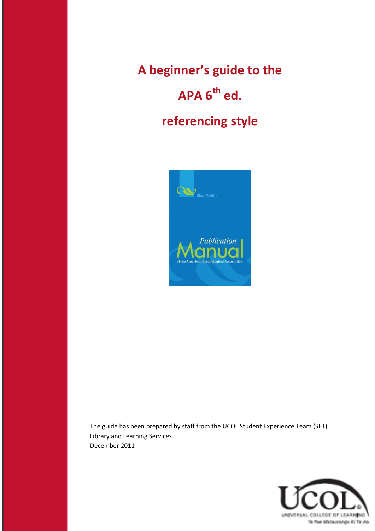**A beginner's guide to the APA 6th ed. referencing style**



The guide has been prepared by staff from the UCOL Student Experience Team (SET) Library and Learning Services December 2011

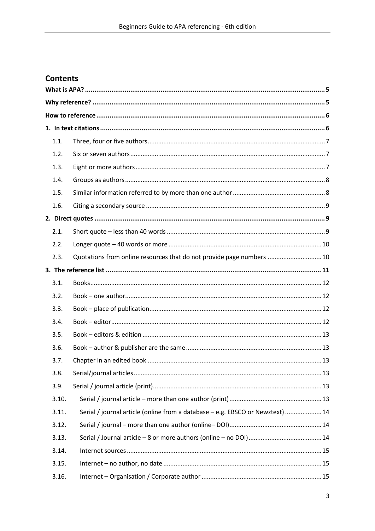# **Contents**

| 1.1.  |                                                                                |  |
|-------|--------------------------------------------------------------------------------|--|
| 1.2.  |                                                                                |  |
| 1.3.  |                                                                                |  |
| 1.4.  |                                                                                |  |
| 1.5.  |                                                                                |  |
| 1.6.  |                                                                                |  |
|       |                                                                                |  |
| 2.1.  |                                                                                |  |
| 2.2.  |                                                                                |  |
| 2.3.  | Quotations from online resources that do not provide page numbers  10          |  |
|       |                                                                                |  |
| 3.1.  |                                                                                |  |
| 3.2.  |                                                                                |  |
| 3.3.  |                                                                                |  |
| 3.4.  |                                                                                |  |
| 3.5.  |                                                                                |  |
| 3.6.  |                                                                                |  |
| 3.7.  |                                                                                |  |
| 3.8.  |                                                                                |  |
| 3.9.  |                                                                                |  |
| 3.10. |                                                                                |  |
| 3.11. | Serial / journal article (online from a database - e.g. EBSCO or Newztext)  14 |  |
| 3.12. |                                                                                |  |
| 3.13. |                                                                                |  |
| 3.14. |                                                                                |  |
| 3.15. |                                                                                |  |
| 3.16. |                                                                                |  |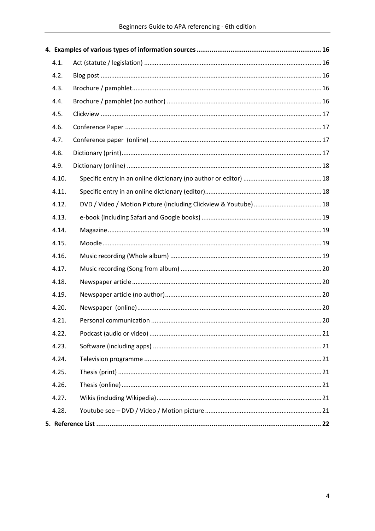| 4.1.  |  |
|-------|--|
| 4.2.  |  |
| 4.3.  |  |
| 4.4.  |  |
| 4.5.  |  |
| 4.6.  |  |
| 4.7.  |  |
| 4.8.  |  |
| 4.9.  |  |
| 4.10. |  |
| 4.11. |  |
| 4.12. |  |
| 4.13. |  |
| 4.14. |  |
| 4.15. |  |
| 4.16. |  |
| 4.17. |  |
| 4.18. |  |
| 4.19. |  |
| 4.20. |  |
| 4.21. |  |
| 4.22. |  |
| 4.23. |  |
| 4.24. |  |
| 4.25. |  |
| 4.26. |  |
| 4.27. |  |
| 4.28. |  |
|       |  |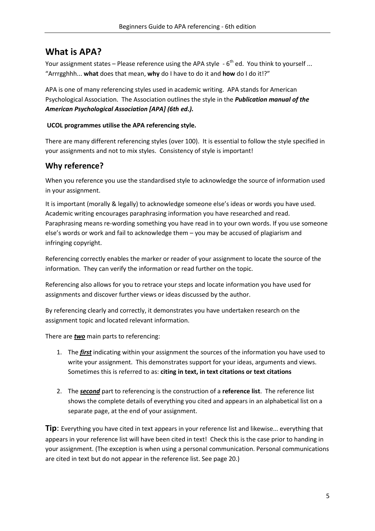# <span id="page-4-0"></span>**What is APA?**

Your assignment states – Please reference using the APA style  $\cdot$  6<sup>th</sup> ed. You think to yourself ... "Arrrgghhh... **what** does that mean, **why** do I have to do it and **how** do I do it!?"

APA is one of many referencing styles used in academic writing. APA stands for American Psychological Association. The Association outlines the style in the *Publication manual of the American Psychological Association [APA] (6th ed.).*

### **UCOL programmes utilise the APA referencing style.**

There are many different referencing styles (over 100). It is essential to follow the style specified in your assignments and not to mix styles. Consistency of style is important!

# <span id="page-4-1"></span>**Why reference?**

When you reference you use the standardised style to acknowledge the source of information used in your assignment.

It is important (morally & legally) to acknowledge someone else's ideas or words you have used. Academic writing encourages paraphrasing information you have researched and read. Paraphrasing means re-wording something you have read in to your own words. If you use someone else's words or work and fail to acknowledge them – you may be accused of plagiarism and infringing copyright.

Referencing correctly enables the marker or reader of your assignment to locate the source of the information. They can verify the information or read further on the topic.

Referencing also allows for you to retrace your steps and locate information you have used for assignments and discover further views or ideas discussed by the author.

By referencing clearly and correctly, it demonstrates you have undertaken research on the assignment topic and located relevant information.

There are *two* main parts to referencing:

- 1. The *first* indicating within your assignment the sources of the information you have used to write your assignment. This demonstrates support for your ideas, arguments and views. Sometimes this is referred to as: **citing in text, in text citations or text citations**
- 2. The *second* part to referencing is the construction of a **reference list**. The reference list shows the complete details of everything you cited and appears in an alphabetical list on a separate page, at the end of your assignment.

**Tip**: Everything you have cited in text appears in your reference list and likewise... everything that appears in your reference list will have been cited in text! Check this is the case prior to handing in your assignment. (The exception is when using a personal communication. Personal communications are cited in text but do not appear in the reference list. See page 20.)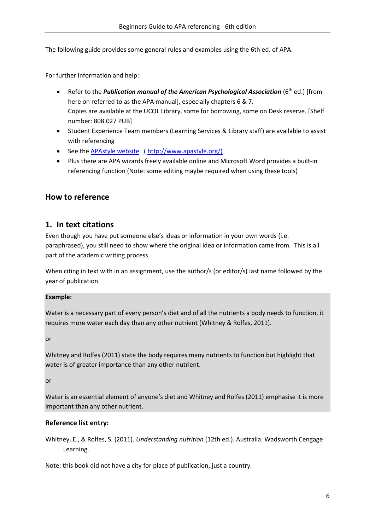The following guide provides some general rules and examples using the 6th ed. of APA.

For further information and help:

- Refer to the *Publication manual of the American Psychological Association* (6<sup>th</sup> ed.) [from here on referred to as the APA manual], especially chapters 6 & 7. Copies are available at the UCOL Library, some for borrowing, some on Desk reserve. [Shelf number: 808.027 PUB]
- Student Experience Team members (Learning Services & Library staff) are available to assist with referencing
- See the **APAstyle website** ( http://www.apastyle.org/)
- Plus there are APA wizards freely available online and Microsoft Word provides a built-in referencing function (Note: some editing maybe required when using these tools)

# <span id="page-5-1"></span><span id="page-5-0"></span>**How to reference**

# **1. In text citations**

Even though you have put someone else's ideas or information in your own words (i.e. paraphrased), you still need to show where the original idea or information came from. This is all part of the academic writing process.

When citing in text with in an assignment, use the author/s (or editor/s) last name followed by the year of publication.

#### **Example:**

Water is a necessary part of every person's diet and of all the nutrients a body needs to function, it requires more water each day than any other nutrient (Whitney & Rolfes, 2011).

or

Whitney and Rolfes (2011) state the body requires many nutrients to function but highlight that water is of greater importance than any other nutrient.

or

Water is an essential element of anyone's diet and Whitney and Rolfes (2011) emphasise it is more important than any other nutrient.

# **Reference list entry:**

Whitney, E., & Rolfes, S. (2011). *Understanding nutrition* (12th ed.). Australia: Wadsworth Cengage Learning.

Note: this book did not have a city for place of publication, just a country.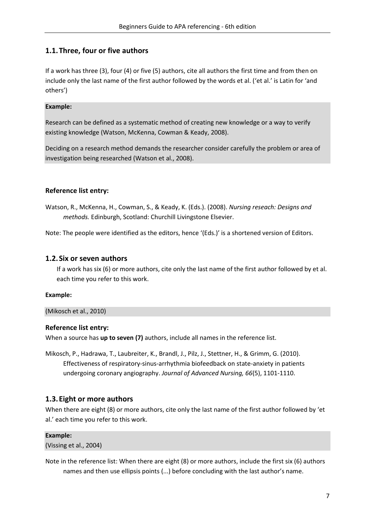# <span id="page-6-0"></span>**1.1.Three, four or five authors**

If a work has three (3), four (4) or five (5) authors, cite all authors the first time and from then on include only the last name of the first author followed by the words et al. ('et al.' is Latin for 'and others')

#### **Example:**

Research can be defined as a systematic method of creating new knowledge or a way to verify existing knowledge (Watson, McKenna, Cowman & Keady, 2008).

Deciding on a research method demands the researcher consider carefully the problem or area of investigation being researched (Watson et al., 2008).

### **Reference list entry:**

Watson, R., McKenna, H., Cowman, S., & Keady, K. (Eds.). (2008). *Nursing reseach: Designs and methods.* Edinburgh, Scotland: Churchill Livingstone Elsevier.

Note: The people were identified as the editors, hence '(Eds.)' is a shortened version of Editors.

# <span id="page-6-1"></span>**1.2.Six or seven authors**

If a work has six (6) or more authors, cite only the last name of the first author followed by et al. each time you refer to this work.

#### **Example:**

(Mikosch et al., 2010)

#### **Reference list entry:**

When a source has **up to seven (7)** authors, include all names in the reference list.

Mikosch, P., Hadrawa, T., Laubreiter, K., Brandl, J., Pilz, J., Stettner, H., & Grimm, G. (2010). Effectiveness of respiratory-sinus-arrhythmia biofeedback on state-anxiety in patients undergoing coronary angiography. *Journal of Advanced Nursing, 66*(5), 1101-1110.

# <span id="page-6-2"></span>**1.3.Eight or more authors**

When there are eight (8) or more authors, cite only the last name of the first author followed by 'et al.' each time you refer to this work.

#### **Example:**

(Vissing et al., 2004)

Note in the reference list: When there are eight (8) or more authors, include the first six (6) authors names and then use ellipsis points (...) before concluding with the last author's name.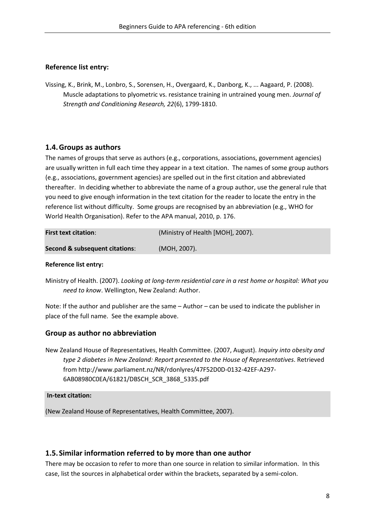### **Reference list entry:**

Vissing, K., Brink, M., Lonbro, S., Sorensen, H., Overgaard, K., Danborg, K., ... Aagaard, P. (2008). Muscle adaptations to plyometric vs. resistance training in untrained young men. *Journal of Strength and Conditioning Research, 22*(6), 1799-1810.

# <span id="page-7-0"></span>**1.4.Groups as authors**

The names of groups that serve as authors (e.g., corporations, associations, government agencies) are usually written in full each time they appear in a text citation. The names of some group authors (e.g., associations, government agencies) are spelled out in the first citation and abbreviated thereafter. In deciding whether to abbreviate the name of a group author, use the general rule that you need to give enough information in the text citation for the reader to locate the entry in the reference list without difficulty. Some groups are recognised by an abbreviation (e.g., WHO for World Health Organisation). Refer to the APA manual, 2010, p. 176.

| <b>First text citation:</b>    | (Ministry of Health [MOH], 2007). |
|--------------------------------|-----------------------------------|
| Second & subsequent citations: | (MOH, 2007).                      |

#### **Reference list entry:**

Ministry of Health. (2007). *Looking at long-term residential care in a rest home or hospital: What you need to know*. Wellington, New Zealand: Author.

Note: If the author and publisher are the same – Author – can be used to indicate the publisher in place of the full name. See the example above.

#### **Group as author no abbreviation**

New Zealand House of Representatives, Health Committee. (2007, August). *Inquiry into obesity and type 2 diabetes in New Zealand: Report presented to the House of Representatives*. Retrieved from http://www.parliament.nz/NR/rdonlyres/47F52D0D-0132-42EF-A297- 6AB08980C0EA/61821/DBSCH\_SCR\_3868\_5335.pdf

#### **In-text citation:**

(New Zealand House of Representatives, Health Committee, 2007).

#### <span id="page-7-1"></span>**1.5.Similar information referred to by more than one author**

There may be occasion to refer to more than one source in relation to similar information. In this case, list the sources in alphabetical order within the brackets, separated by a semi-colon.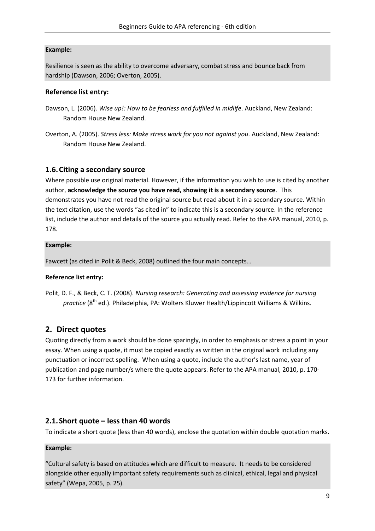#### **Example:**

Resilience is seen as the ability to overcome adversary, combat stress and bounce back from hardship (Dawson, 2006; Overton, 2005).

### **Reference list entry:**

- Dawson, L. (2006). *Wise up!: How to be fearless and fulfilled in midlife*. Auckland, New Zealand: Random House New Zealand.
- Overton, A. (2005). *Stress less: Make stress work for you not against you*. Auckland, New Zealand: Random House New Zealand.

# <span id="page-8-0"></span>**1.6.Citing a secondary source**

Where possible use original material. However, if the information you wish to use is cited by another author, **acknowledge the source you have read, showing it is a secondary source**. This demonstrates you have not read the original source but read about it in a secondary source. Within the text citation, use the words "as cited in" to indicate this is a secondary source. In the reference list, include the author and details of the source you actually read. Refer to the APA manual, 2010, p. 178.

#### **Example:**

Fawcett (as cited in Polit & Beck, 2008) outlined the four main concepts…

# **Reference list entry:**

Polit, D. F., & Beck, C. T. (2008). *Nursing research: Generating and assessing evidence for nursing*  practice (8<sup>th</sup> ed.). Philadelphia, PA: Wolters Kluwer Health/Lippincott Williams & Wilkins.

# <span id="page-8-1"></span>**2. Direct quotes**

Quoting directly from a work should be done sparingly, in order to emphasis or stress a point in your essay. When using a quote, it must be copied exactly as written in the original work including any punctuation or incorrect spelling. When using a quote, include the author's last name, year of publication and page number/s where the quote appears. Refer to the APA manual, 2010, p. 170- 173 for further information.

# <span id="page-8-2"></span>**2.1.Short quote – less than 40 words**

To indicate a short quote (less than 40 words), enclose the quotation within double quotation marks.

# **Example:**

"Cultural safety is based on attitudes which are difficult to measure. It needs to be considered alongside other equally important safety requirements such as clinical, ethical, legal and physical safety" (Wepa, 2005, p. 25).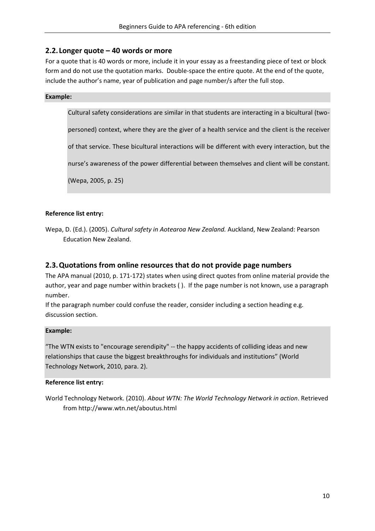# <span id="page-9-0"></span>**2.2. Longer quote – 40 words or more**

For a quote that is 40 words or more, include it in your essay as a freestanding piece of text or block form and do not use the quotation marks. Double-space the entire quote. At the end of the quote, include the author's name, year of publication and page number/s after the full stop.

#### **Example:**

Cultural safety considerations are similar in that students are interacting in a bicultural (two-

personed) context, where they are the giver of a health service and the client is the receiver

of that service. These bicultural interactions will be different with every interaction, but the

nurse's awareness of the power differential between themselves and client will be constant.

(Wepa, 2005, p. 25)

### **Reference list entry:**

Wepa, D. (Ed.). (2005). *Cultural safety in Aotearoa New Zealand.* Auckland, New Zealand: Pearson Education New Zealand.

# <span id="page-9-1"></span>**2.3.Quotations from online resources that do not provide page numbers**

The APA manual (2010, p. 171-172) states when using direct quotes from online material provide the author, year and page number within brackets (). If the page number is not known, use a paragraph number.

If the paragraph number could confuse the reader, consider including a section heading e.g. discussion section.

#### **Example:**

"The WTN exists to "encourage serendipity" -- the happy accidents of colliding ideas and new relationships that cause the biggest breakthroughs for individuals and institutions" (World Technology Network, 2010, para. 2).

#### **Reference list entry:**

World Technology Network. (2010). *About WTN: The World Technology Network in action*. Retrieved from http://www.wtn.net/aboutus.html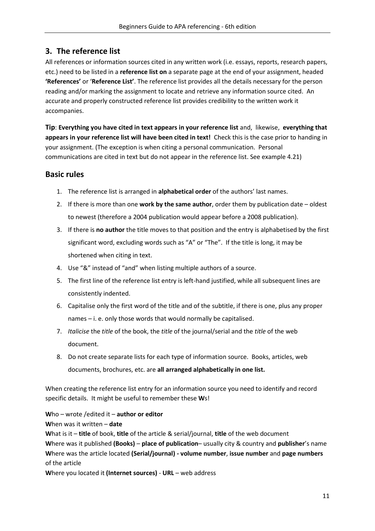# <span id="page-10-0"></span>**3. The reference list**

All references or information sources cited in any written work (i.e. essays, reports, research papers, etc.) need to be listed in a **reference list on** a separate page at the end of your assignment, headed **'References'** or '**Reference List'**. The reference list provides all the details necessary for the person reading and/or marking the assignment to locate and retrieve any information source cited. An accurate and properly constructed reference list provides credibility to the written work it accompanies.

**Tip**: **Everything you have cited in text appears in your reference list** and, likewise, **everything that appears in your reference list will have been cited in text!** Check this is the case prior to handing in your assignment. (The exception is when citing a personal communication. Personal communications are cited in text but do not appear in the reference list. See example 4.21)

# **Basic rules**

- 1. The reference list is arranged in **alphabetical order** of the authors' last names.
- 2. If there is more than one **work by the same author**, order them by publication date oldest to newest (therefore a 2004 publication would appear before a 2008 publication).
- 3. If there is **no author** the title moves to that position and the entry is alphabetised by the first significant word, excluding words such as "A" or "The". If the title is long, it may be shortened when citing in text.
- 4. Use "&" instead of "and" when listing multiple authors of a source.
- 5. The first line of the reference list entry is left-hand justified, while all subsequent lines are consistently indented.
- 6. Capitalise only the first word of the title and of the subtitle, if there is one, plus any proper names – i. e. only those words that would normally be capitalised.
- 7. *Italicise* the *title* of the book, the *title* of the journal/serial and the *title* of the web document.
- 8. Do not create separate lists for each type of information source. Books, articles, web documents, brochures, etc. are **all arranged alphabetically in one list.**

When creating the reference list entry for an information source you need to identify and record specific details. It might be useful to remember these **W**s!

**W**ho – wrote /edited it – **author or editor**

# **W**hen was it written – **date**

**W**hat is it – **title** of book, **title** of the article & serial/journal, **title** of the web document

**W**here was it published **(Books)** – **place of publication**– usually city & country and **publisher**'s name **W**here was the article located **(Serial/journal) - volume number**, **issue number** and **page numbers** of the article

**W**here you located it **(Internet sources)** - **URL** – web address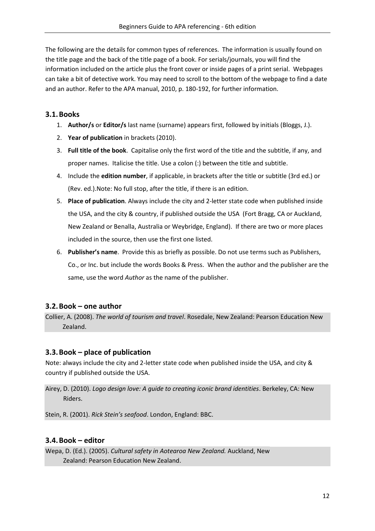The following are the details for common types of references. The information is usually found on the title page and the back of the title page of a book. For serials/journals, you will find the information included on the article plus the front cover or inside pages of a print serial. Webpages can take a bit of detective work. You may need to scroll to the bottom of the webpage to find a date and an author. Refer to the APA manual, 2010, p. 180-192, for further information.

# <span id="page-11-0"></span>**3.1.Books**

- 1. **Author/s** or **Editor/s** last name (surname) appears first, followed by initials (Bloggs, J.).
- 2. **Year of publication** in brackets (2010).
- 3. **Full title of the book**. Capitalise only the first word of the title and the subtitle, if any, and proper names. Italicise the title. Use a colon (:) between the title and subtitle.
- 4. Include the **edition number**, if applicable, in brackets after the title or subtitle (3rd ed.) or (Rev. ed.).Note: No full stop, after the title, if there is an edition.
- 5. **Place of publication**. Always include the city and 2-letter state code when published inside the USA, and the city & country, if published outside the USA (Fort Bragg, CA or Auckland, New Zealand or Benalla, Australia or Weybridge, England). If there are two or more places included in the source, then use the first one listed.
- 6. **Publisher's name**. Provide this as briefly as possible. Do not use terms such as Publishers, Co., or Inc. but include the words Books & Press. When the author and the publisher are the same, use the word *Author* as the name of the publisher.

# <span id="page-11-1"></span>**3.2.Book – one author**

Collier, A. (2008). *The world of tourism and travel*. Rosedale, New Zealand: Pearson Education New Zealand.

# <span id="page-11-2"></span>**3.3.Book – place of publication**

Note: always include the city and 2-letter state code when published inside the USA, and city & country if published outside the USA.

Airey, D. (2010). *Logo design love: A guide to creating iconic brand identities*. Berkeley, CA: New Riders.

Stein, R. (2001). *Rick Stein's seafood*. London, England: BBC.

# <span id="page-11-3"></span>**3.4.Book – editor**

Wepa, D. (Ed.). (2005). *Cultural safety in Aotearoa New Zealand.* Auckland, New Zealand: Pearson Education New Zealand.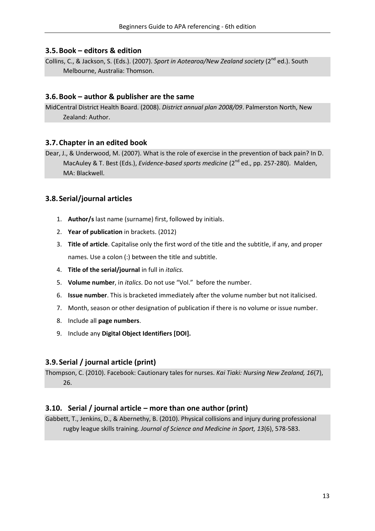# <span id="page-12-0"></span>**3.5.Book – editors & edition**

Collins, C., & Jackson, S. (Eds.). (2007). *Sport in Aotearoa/New Zealand society* (2<sup>nd</sup> ed.). South Melbourne, Australia: Thomson.

### <span id="page-12-1"></span>**3.6.Book – author & publisher are the same**

MidCentral District Health Board. (2008). *District annual plan 2008/09*. Palmerston North, New Zealand: Author.

### <span id="page-12-2"></span>**3.7.Chapter in an edited book**

Dear, J., & Underwood, M. (2007). What is the role of exercise in the prevention of back pain? In D. MacAuley & T. Best (Eds.), *Evidence-based sports medicine* (2<sup>nd</sup> ed., pp. 257-280). Malden, MA: Blackwell.

# <span id="page-12-3"></span>**3.8.Serial/journal articles**

- 1. **Author/s** last name (surname) first, followed by initials.
- 2. **Year of publication** in brackets. (2012)
- 3. **Title of article**. Capitalise only the first word of the title and the subtitle, if any, and proper names. Use a colon (:) between the title and subtitle.
- 4. **Title of the serial/journal** in full in *italics.*
- 5. **Volume number**, in *italics*. Do not use "Vol." before the number.
- 6. **Issue number**. This is bracketed immediately after the volume number but not italicised.
- 7. Month, season or other designation of publication if there is no volume or issue number.
- 8. Include all **page numbers**.
- 9. Include any **Digital Object Identifiers [DOI].**

# <span id="page-12-4"></span>**3.9.Serial / journal article (print)**

Thompson, C. (2010). Facebook: Cautionary tales for nurses. *Kai Tiaki: Nursing New Zealand, 16*(7), 26.

# <span id="page-12-5"></span>**3.10. Serial / journal article – more than one author (print)**

Gabbett, T., Jenkins, D., & Abernethy, B. (2010). Physical collisions and injury during professional rugby league skills training. *Journal of Science and Medicine in Sport, 13*(6), 578-583.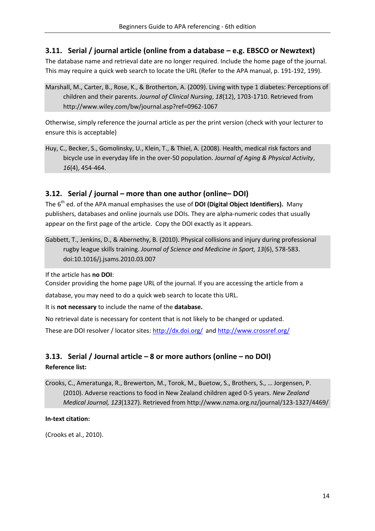# <span id="page-13-0"></span>**3.11. Serial / journal article (online from a database – e.g. EBSCO or Newztext)**

The database name and retrieval date are no longer required. Include the home page of the journal. This may require a quick web search to locate the URL (Refer to the APA manual, p. 191-192, 199).

Marshall, M., Carter, B., Rose, K., & Brotherton, A. (2009). Living with type 1 diabetes: Perceptions of children and their parents. *Journal of Clinical Nursing*, *18*(12), 1703-1710. Retrieved from http://www.wiley.com/bw/journal.asp?ref=0962-1067

Otherwise, simply reference the journal article as per the print version (check with your lecturer to ensure this is acceptable)

Huy, C., Becker, S., Gomolinsky, U., Klein, T., & Thiel, A. (2008). Health, medical risk factors and bicycle use in everyday life in the over-50 population. *Journal of Aging & Physical Activity*, *16*(4), 454-464.

# <span id="page-13-1"></span>**3.12. Serial / journal – more than one author (online– DOI)**

The 6<sup>th</sup> ed. of the APA manual emphasises the use of **DOI (Digital Object Identifiers).** Many publishers, databases and online journals use DOIs. They are alpha-numeric codes that usually appear on the first page of the article. Copy the DOI exactly as it appears.

Gabbett, T., Jenkins, D., & Abernethy, B. (2010). Physical collisions and injury during professional rugby league skills training. *Journal of Science and Medicine in Sport, 13*(6), 578-583. doi:10.1016/j.jsams.2010.03.007

If the article has **no DOI**:

Consider providing the home page URL of the journal. If you are accessing the article from a

database, you may need to do a quick web search to locate this URL.

It is **not necessary** to include the name of the **database.**

No retrieval date is necessary for content that is not likely to be changed or updated.

<span id="page-13-2"></span>These are DOI resolver / locator sites: <http://dx.doi.org/> and<http://www.crossref.org/>

# **3.13. Serial / Journal article – 8 or more authors (online – no DOI) Reference list:**

Crooks, C., Ameratunga, R., Brewerton, M., Torok, M., Buetow, S., Brothers, S., … Jorgensen, P. (2010). Adverse reactions to food in New Zealand children aged 0-5 years. *New Zealand Medical Journal, 123*(1327). Retrieved from http://www.nzma.org.nz/journal/123-1327/4469/

#### **In-text citation:**

(Crooks et al., 2010).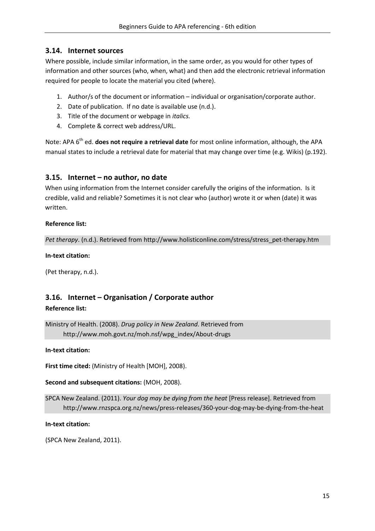# <span id="page-14-0"></span>**3.14. Internet sources**

Where possible, include similar information, in the same order, as you would for other types of information and other sources (who, when, what) and then add the electronic retrieval information required for people to locate the material you cited (where).

- 1. Author/s of the document or information individual or organisation/corporate author.
- 2. Date of publication. If no date is available use (n.d.).
- 3. Title of the document or webpage in *italics.*
- 4. Complete & correct web address/URL.

Note: APA 6<sup>th</sup> ed. **does not require a retrieval date** for most online information, although, the APA manual states to include a retrieval date for material that may change over time (e.g. Wikis) (p.192).

### <span id="page-14-1"></span>**3.15. Internet – no author, no date**

When using information from the Internet consider carefully the origins of the information. Is it credible, valid and reliable? Sometimes it is not clear who (author) wrote it or when (date) it was written.

#### **Reference list:**

*Pet therapy*. (n.d.). Retrieved from http://www.holisticonline.com/stress/stress\_pet-therapy.htm

#### **In-text citation:**

(Pet therapy, n.d.).

# <span id="page-14-2"></span>**3.16. Internet – Organisation / Corporate author**

#### **Reference list:**

Ministry of Health. (2008). *Drug policy in New Zealand*. Retrieved from http://www.moh.govt.nz/moh.nsf/wpg\_index/About-drugs

#### **In-text citation:**

**First time cited:** (Ministry of Health [MOH], 2008).

**Second and subsequent citations:** (MOH, 2008).

SPCA New Zealand. (2011). *Your dog may be dying from the heat* [Press release]. Retrieved from http://www.rnzspca.org.nz/news/press-releases/360-your-dog-may-be-dying-from-the-heat

#### **In-text citation:**

(SPCA New Zealand, 2011).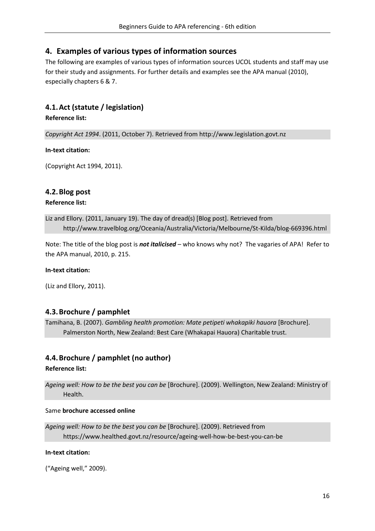# <span id="page-15-0"></span>**4. Examples of various types of information sources**

The following are examples of various types of information sources UCOL students and staff may use for their study and assignments. For further details and examples see the APA manual (2010), especially chapters 6 & 7.

# <span id="page-15-1"></span>**4.1.Act (statute / legislation)**

**Reference list:**

*Copyright Act 1994*. (2011, October 7). Retrieved from http://www.legislation.govt.nz

#### **In-text citation:**

(Copyright Act 1994, 2011).

# <span id="page-15-2"></span>**4.2.Blog post**

#### **Reference list:**

Liz and Ellory. (2011, January 19). The day of dread(s) [Blog post]. Retrieved from http://www.travelblog.org/Oceania/Australia/Victoria/Melbourne/St-Kilda/blog-669396.html

Note: The title of the blog post is *not italicised* – who knows why not? The vagaries of APA! Refer to the APA manual, 2010, p. 215.

#### **In-text citation:**

(Liz and Ellory, 2011).

# <span id="page-15-3"></span>**4.3.Brochure / pamphlet**

Tamihana, B. (2007). *Gambling health promotion: Mate petipeti whakapiki hauora* [Brochure]. Palmerston North, New Zealand: Best Care (Whakapai Hauora) Charitable trust.

# <span id="page-15-4"></span>**4.4.Brochure / pamphlet (no author)**

#### **Reference list:**

*Ageing well: How to be the best you can be* [Brochure]. (2009). Wellington, New Zealand: Ministry of Health.

#### Same **brochure accessed online**

```
Ageing well: How to be the best you can be [Brochure]. (2009). Retrieved from
https://www.healthed.govt.nz/resource/ageing-well-how-be-best-you-can-be
```
#### **In-text citation:**

("Ageing well," 2009).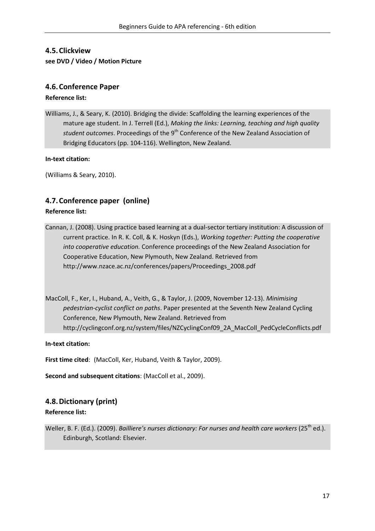# <span id="page-16-0"></span>**4.5.Clickview**

#### **see DVD / Video / Motion Picture**

# <span id="page-16-1"></span>**4.6.Conference Paper**

#### **Reference list:**

Williams, J., & Seary, K. (2010). Bridging the divide: Scaffolding the learning experiences of the mature age student. In J. Terrell (Ed.), *Making the links: Learning, teaching and high quality student outcomes*. Proceedings of the 9<sup>th</sup> Conference of the New Zealand Association of Bridging Educators (pp. 104-116). Wellington, New Zealand.

#### **In-text citation:**

(Williams & Seary, 2010).

# <span id="page-16-2"></span>**4.7.Conference paper (online)**

### **Reference list:**

Cannan, J. (2008). Using practice based learning at a dual-sector tertiary institution: A discussion of current practice. In R. K. Coll, & K. Hoskyn (Eds.), *Working together: Putting the cooperative into cooperative education.* Conference proceedings of the New Zealand Association for Cooperative Education, New Plymouth, New Zealand. Retrieved from http://www.nzace.ac.nz/conferences/papers/Proceedings\_2008.pdf

MacColl, F., Ker, I., Huband, A., Veith, G., & Taylor, J. (2009, November 12-13). *Minimising pedestrian-cyclist conflict on paths*. Paper presented at the Seventh New Zealand Cycling Conference, New Plymouth, New Zealand. Retrieved from http://cyclingconf.org.nz/system/files/NZCyclingConf09\_2A\_MacColl\_PedCycleConflicts.pdf

**In-text citation:**

**First time cited**: (MacColl, Ker, Huband, Veith & Taylor, 2009).

**Second and subsequent citations**: (MacColl et al., 2009).

# <span id="page-16-3"></span>**4.8.Dictionary (print)**

#### **Reference list:**

Weller, B. F. (Ed.). (2009). *Bailliere's nurses dictionary: For nurses and health care workers* (25<sup>th</sup> ed.). Edinburgh, Scotland: Elsevier.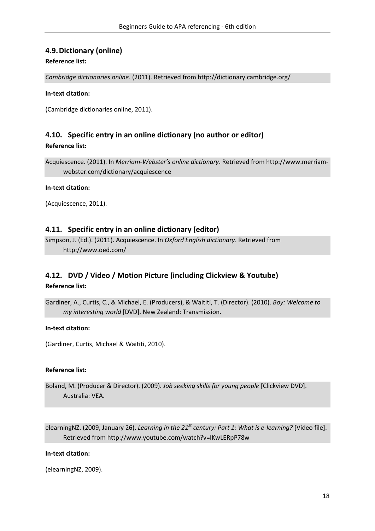# <span id="page-17-0"></span>**4.9.Dictionary (online)**

#### **Reference list:**

*Cambridge dictionaries online*. (2011). Retrieved from http://dictionary.cambridge.org/

#### **In-text citation:**

(Cambridge dictionaries online, 2011).

# <span id="page-17-1"></span>**4.10. Specific entry in an online dictionary (no author or editor)**

**Reference list:**

Acquiescence. (2011). In *Merriam-Webster's online dictionary*. Retrieved from http://www.merriamwebster.com/dictionary/acquiescence

#### **In-text citation:**

(Acquiescence, 2011).

### <span id="page-17-2"></span>**4.11. Specific entry in an online dictionary (editor)**

Simpson, J. (Ed.). (2011). Acquiescence. In *Oxford English dictionary*. Retrieved from http://www.oed.com/

# <span id="page-17-3"></span>**4.12. DVD / Video / Motion Picture (including Clickview & Youtube)**

#### **Reference list:**

Gardiner, A., Curtis, C., & Michael, E. (Producers), & Waititi, T. (Director). (2010). *Boy: Welcome to my interesting world* [DVD]. New Zealand: Transmission.

#### **In-text citation:**

(Gardiner, Curtis, Michael & Waititi, 2010).

#### **Reference list:**

Boland, M. (Producer & Director). (2009). *Job seeking skills for young people* [Clickview DVD]. Australia: VEA.

elearningNZ. (2009, January 26). *Learning in the 21st century: Part 1: What is e-learning?* [Video file]. Retrieved from http://www.youtube.com/watch?v=IKwLERpP78w

#### **In-text citation:**

(elearningNZ, 2009).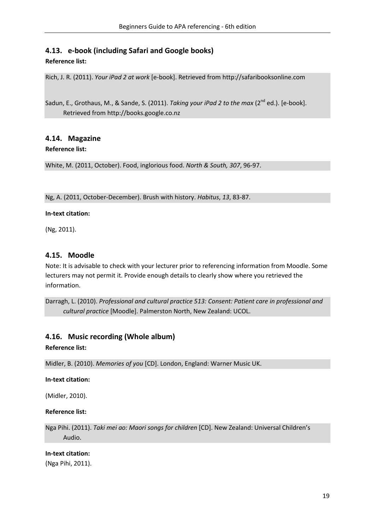# <span id="page-18-0"></span>**4.13. e-book (including Safari and Google books)**

#### **Reference list:**

Rich, J. R. (2011). *Your iPad 2 at work* [e-book]. Retrieved from http://safaribooksonline.com

Sadun, E., Grothaus, M., & Sande, S. (2011). *Taking your iPad 2 to the max* (2<sup>nd</sup> ed.). [e-book]. Retrieved from http://books.google.co.nz

# <span id="page-18-1"></span>**4.14. Magazine**

#### **Reference list:**

White, M. (2011, October). Food, inglorious food. *North & South, 307*, 96-97.

#### Ng, A. (2011, October-December). Brush with history. *Habitus*, *13*, 83-87.

#### **In-text citation:**

(Ng, 2011).

### <span id="page-18-2"></span>**4.15. Moodle**

Note: It is advisable to check with your lecturer prior to referencing information from Moodle. Some lecturers may not permit it. Provide enough details to clearly show where you retrieved the information.

Darragh, L. (2010). *Professional and cultural practice 513: Consent: Patient care in professional and cultural practice* [Moodle]. Palmerston North, New Zealand: UCOL.

# <span id="page-18-3"></span>**4.16. Music recording (Whole album)**

#### **Reference list:**

Midler, B. (2010). *Memories of you* [CD]. London, England: Warner Music UK.

#### **In-text citation:**

(Midler, 2010).

#### **Reference list:**

Nga Pihi. (2011). *Taki mei ao: Maori songs for children* [CD]. New Zealand: Universal Children's Audio.

#### **In-text citation:**

(Nga Pihi, 2011).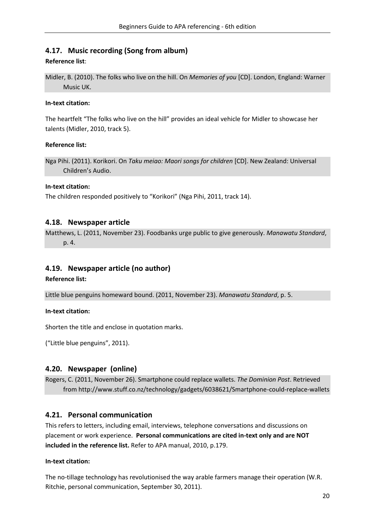# <span id="page-19-0"></span>**4.17. Music recording (Song from album)**

#### **Reference list**:

Midler, B. (2010). The folks who live on the hill. On *Memories of you* [CD]. London, England: Warner Music UK.

#### **In-text citation:**

The heartfelt "The folks who live on the hill" provides an ideal vehicle for Midler to showcase her talents (Midler, 2010, track 5).

#### **Reference list:**

Nga Pihi. (2011). Korikori. On *Taku meiao: Maori songs for children* [CD]. New Zealand: Universal Children's Audio.

#### **In-text citation:**

The children responded positively to "Korikori" (Nga Pihi, 2011, track 14).

### <span id="page-19-1"></span>**4.18. Newspaper article**

Matthews, L. (2011, November 23). Foodbanks urge public to give generously. *Manawatu Standard*, p. 4.

# <span id="page-19-2"></span>**4.19. Newspaper article (no author)**

#### **Reference list:**

Little blue penguins homeward bound. (2011, November 23). *Manawatu Standard*, p. 5.

**In-text citation:**

Shorten the title and enclose in quotation marks.

("Little blue penguins", 2011).

# <span id="page-19-3"></span>**4.20. Newspaper (online)**

Rogers, C. (2011, November 26). Smartphone could replace wallets. *The Dominion Post*. Retrieved from http://www.stuff.co.nz/technology/gadgets/6038621/Smartphone-could-replace-wallets

# <span id="page-19-4"></span>**4.21. Personal communication**

This refers to letters, including email, interviews, telephone conversations and discussions on placement or work experience. **Personal communications are cited in-text only and are NOT included in the reference list.** Refer to APA manual, 2010, p.179.

#### **In-text citation:**

The no-tillage technology has revolutionised the way arable farmers manage their operation (W.R. Ritchie, personal communication, September 30, 2011).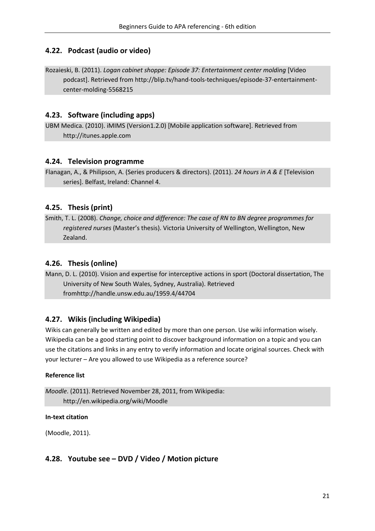# <span id="page-20-0"></span>**4.22. Podcast (audio or video)**

Rozaieski, B. (2011). *Logan cabinet shoppe: Episode 37: Entertainment center molding* [Video podcast]. Retrieved from http://blip.tv/hand-tools-techniques/episode-37-entertainmentcenter-molding-5568215

# <span id="page-20-1"></span>**4.23. Software (including apps)**

UBM Medica. (2010). iMIMS (Version1.2.0) [Mobile application software]. Retrieved from http://itunes.apple.com

# <span id="page-20-2"></span>**4.24. Television programme**

Flanagan, A., & Philipson, A. (Series producers & directors). (2011). *24 hours in A & E* [Television series]. Belfast, Ireland: Channel 4.

# <span id="page-20-3"></span>**4.25. Thesis (print)**

Smith, T. L. (2008). *Change, choice and difference: The case of RN to BN degree programmes for registered nurses* (Master's thesis). Victoria University of Wellington, Wellington, New Zealand.

# <span id="page-20-4"></span>**4.26. Thesis (online)**

Mann, D. L. (2010). Vision and expertise for interceptive actions in sport (Doctoral dissertation, The University of New South Wales, Sydney, Australia). Retrieved fromhttp://handle.unsw.edu.au/1959.4/44704

# <span id="page-20-5"></span>**4.27. Wikis (including Wikipedia)**

Wikis can generally be written and edited by more than one person. Use wiki information wisely. Wikipedia can be a good starting point to discover background information on a topic and you can use the citations and links in any entry to verify information and locate original sources. Check with your lecturer – Are you allowed to use Wikipedia as a reference source?

#### **Reference list**

*Moodle*. (2011). Retrieved November 28, 2011, from Wikipedia: http://en.wikipedia.org/wiki/Moodle

#### **In-text citation**

(Moodle, 2011).

# <span id="page-20-6"></span>**4.28. Youtube see – DVD / Video / Motion picture**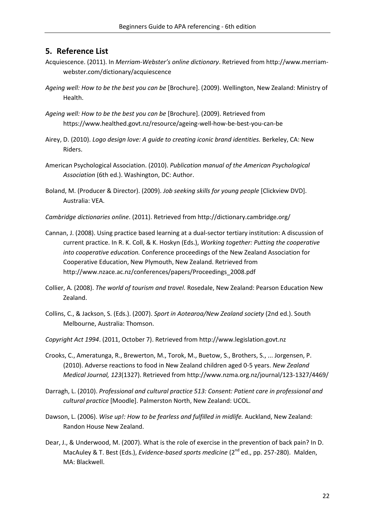### <span id="page-21-0"></span>**5. Reference List**

- Acquiescence. (2011). In *Merriam-Webster's online dictionary*. Retrieved from http://www.merriamwebster.com/dictionary/acquiescence
- *Ageing well: How to be the best you can be* [Brochure]. (2009). Wellington, New Zealand: Ministry of Health.
- *Ageing well: How to be the best you can be* [Brochure]. (2009). Retrieved from https://www.healthed.govt.nz/resource/ageing-well-how-be-best-you-can-be
- Airey, D. (2010). *Logo design love: A guide to creating iconic brand identities.* Berkeley, CA: New Riders.
- American Psychological Association. (2010). *Publication manual of the American Psychological Association* (6th ed.). Washington, DC: Author.
- Boland, M. (Producer & Director). (2009). *Job seeking skills for young people* [Clickview DVD]. Australia: VEA.
- *Cambridge dictionaries online*. (2011). Retrieved from http://dictionary.cambridge.org/
- Cannan, J. (2008). Using practice based learning at a dual-sector tertiary institution: A discussion of current practice. In R. K. Coll, & K. Hoskyn (Eds.), *Working together: Putting the cooperative into cooperative education.* Conference proceedings of the New Zealand Association for Cooperative Education, New Plymouth, New Zealand. Retrieved from http://www.nzace.ac.nz/conferences/papers/Proceedings\_2008.pdf
- Collier, A. (2008). *The world of tourism and travel.* Rosedale, New Zealand: Pearson Education New Zealand.
- Collins, C., & Jackson, S. (Eds.). (2007). *Sport in Aotearoa/New Zealand society* (2nd ed.). South Melbourne, Australia: Thomson.
- *Copyright Act 1994*. (2011, October 7). Retrieved from http://www.legislation.govt.nz
- Crooks, C., Ameratunga, R., Brewerton, M., Torok, M., Buetow, S., Brothers, S., ... Jorgensen, P. (2010). Adverse reactions to food in New Zealand children aged 0-5 years. *New Zealand Medical Journal, 123*(1327). Retrieved from http://www.nzma.org.nz/journal/123-1327/4469/
- Darragh, L. (2010). *Professional and cultural practice 513: Consent: Patient care in professional and cultural practice* [Moodle]. Palmerston North, New Zealand: UCOL.
- Dawson, L. (2006). *Wise up!: How to be fearless and fulfilled in midlife.* Auckland, New Zealand: Randon House New Zealand.
- Dear, J., & Underwood, M. (2007). What is the role of exercise in the prevention of back pain? In D. MacAuley & T. Best (Eds.), *Evidence-based sports medicine* (2<sup>nd</sup> ed., pp. 257-280). Malden, MA: Blackwell.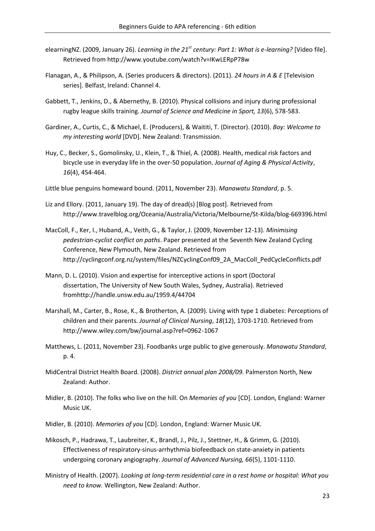- elearningNZ. (2009, January 26). *Learning in the 21st century: Part 1: What is e-learning?* [Video file]. Retrieved from http://www.youtube.com/watch?v=IKwLERpP78w
- Flanagan, A., & Philipson, A. (Series producers & directors). (2011). *24 hours in A & E* [Television series]. Belfast, Ireland: Channel 4.
- Gabbett, T., Jenkins, D., & Abernethy, B. (2010). Physical collisions and injury during professional rugby league skills training. *Journal of Science and Medicine in Sport, 13*(6), 578-583.
- Gardiner, A., Curtis, C., & Michael, E. (Producers), & Waititi, T. (Director). (2010). *Boy: Welcome to my interesting world* [DVD]. New Zealand: Transmission.
- Huy, C., Becker, S., Gomolinsky, U., Klein, T., & Thiel, A. (2008). Health, medical risk factors and bicycle use in everyday life in the over-50 population. *Journal of Aging & Physical Activity*, *16*(4), 454-464.
- Little blue penguins homeward bound. (2011, November 23). *Manawatu Standard*, p. 5.
- Liz and Ellory. (2011, January 19). The day of dread(s) [Blog post]. Retrieved from http://www.travelblog.org/Oceania/Australia/Victoria/Melbourne/St-Kilda/blog-669396.html
- MacColl, F., Ker, I., Huband, A., Veith, G., & Taylor, J. (2009, November 12-13). *Minimising pedestrian-cyclist conflict on paths*. Paper presented at the Seventh New Zealand Cycling Conference, New Plymouth, New Zealand. Retrieved from http://cyclingconf.org.nz/system/files/NZCyclingConf09\_2A\_MacColl\_PedCycleConflicts.pdf
- Mann, D. L. (2010). Vision and expertise for interceptive actions in sport (Doctoral dissertation, The University of New South Wales, Sydney, Australia). Retrieved fromhttp://handle.unsw.edu.au/1959.4/44704
- Marshall, M., Carter, B., Rose, K., & Brotherton, A. (2009). Living with type 1 diabetes: Perceptions of children and their parents. *Journal of Clinical Nursing*, *18*(12), 1703-1710. Retrieved from http://www.wiley.com/bw/journal.asp?ref=0962-1067
- Matthews, L. (2011, November 23). Foodbanks urge public to give generously. *Manawatu Standard*, p. 4.
- MidCentral District Health Board. (2008). *District annual plan 2008/09.* Palmerston North, New Zealand: Author.
- Midler, B. (2010). The folks who live on the hill. On *Memories of you* [CD]. London, England: Warner Music UK.
- Midler, B. (2010). *Memories of you* [CD]. London, England: Warner Music UK.
- Mikosch, P., Hadrawa, T., Laubreiter, K., Brandl, J., Pilz, J., Stettner, H., & Grimm, G. (2010). Effectiveness of respiratory-sinus-arrhythmia biofeedback on state-anxiety in patients undergoing coronary angiography. *Journal of Advanced Nursing, 66*(5), 1101-1110.
- Ministry of Health. (2007). *Looking at long-term residential care in a rest home or hospital: What you need to know.* Wellington, New Zealand: Author.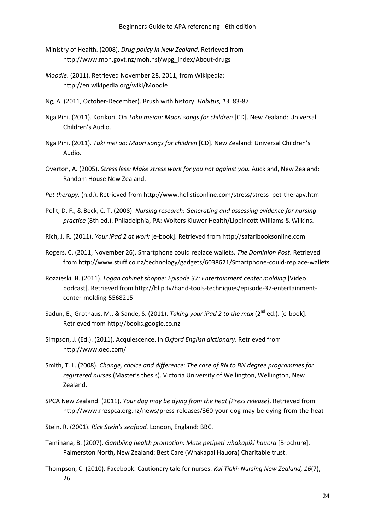- Ministry of Health. (2008). *Drug policy in New Zealand*. Retrieved from http://www.moh.govt.nz/moh.nsf/wpg\_index/About-drugs
- *Moodle*. (2011). Retrieved November 28, 2011, from Wikipedia: http://en.wikipedia.org/wiki/Moodle
- Ng, A. (2011, October-December). Brush with history. *Habitus*, *13*, 83-87.
- Nga Pihi. (2011). Korikori. On *Taku meiao: Maori songs for children* [CD]. New Zealand: Universal Children's Audio.
- Nga Pihi. (2011). *Taki mei ao: Maori songs for children* [CD]. New Zealand: Universal Children's Audio.
- Overton, A. (2005). *Stress less: Make stress work for you not against you.* Auckland, New Zealand: Random House New Zealand.
- *Pet therapy*. (n.d.). Retrieved from http://www.holisticonline.com/stress/stress\_pet-therapy.htm
- Polit, D. F., & Beck, C. T. (2008). *Nursing research: Generating and assessing evidence for nursing practice* (8th ed.). Philadelphia, PA: Wolters Kluwer Health/Lippincott Williams & Wilkins.
- Rich, J. R. (2011). *Your iPad 2 at work* [e-book]. Retrieved from http://safaribooksonline.com
- Rogers, C. (2011, November 26). Smartphone could replace wallets. *The Dominion Post*. Retrieved from http://www.stuff.co.nz/technology/gadgets/6038621/Smartphone-could-replace-wallets
- Rozaieski, B. (2011). *Logan cabinet shoppe: Episode 37: Entertainment center molding* [Video podcast]. Retrieved from http://blip.tv/hand-tools-techniques/episode-37-entertainmentcenter-molding-5568215
- Sadun, E., Grothaus, M., & Sande, S. (2011). *Taking your iPad 2 to the max* (2<sup>nd</sup> ed.). [e-book]. Retrieved from http://books.google.co.nz
- Simpson, J. (Ed.). (2011). Acquiescence. In *Oxford English dictionary*. Retrieved from http://www.oed.com/
- Smith, T. L. (2008). *Change, choice and difference: The case of RN to BN degree programmes for registered nurses* (Master's thesis). Victoria University of Wellington, Wellington, New Zealand.
- SPCA New Zealand. (2011). *Your dog may be dying from the heat [Press release]*. Retrieved from http://www.rnzspca.org.nz/news/press-releases/360-your-dog-may-be-dying-from-the-heat
- Stein, R. (2001). *Rick Stein's seafood.* London, England: BBC.
- Tamihana, B. (2007). *Gambling health promotion: Mate petipeti whakapiki hauora* [Brochure]. Palmerston North, New Zealand: Best Care (Whakapai Hauora) Charitable trust.
- Thompson, C. (2010). Facebook: Cautionary tale for nurses. *Kai Tiaki: Nursing New Zealand, 16*(7), 26.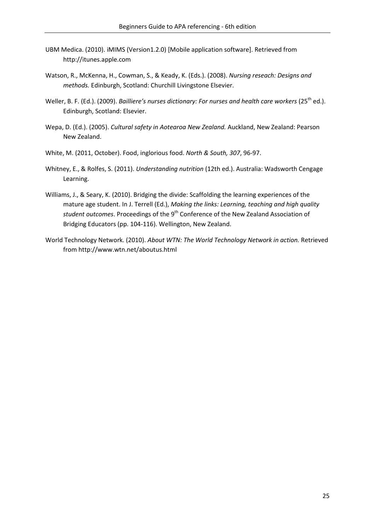- UBM Medica. (2010). iMIMS (Version1.2.0) [Mobile application software]. Retrieved from http://itunes.apple.com
- Watson, R., McKenna, H., Cowman, S., & Keady, K. (Eds.). (2008). *Nursing reseach: Designs and methods.* Edinburgh, Scotland: Churchill Livingstone Elsevier.
- Weller, B. F. (Ed.). (2009). *Bailliere's nurses dictionary: For nurses and health care workers* (25<sup>th</sup> ed.). Edinburgh, Scotland: Elsevier.
- Wepa, D. (Ed.). (2005). *Cultural safety in Aotearoa New Zealand.* Auckland, New Zealand: Pearson New Zealand.
- White, M. (2011, October). Food, inglorious food. *North & South, 307*, 96-97.
- Whitney, E., & Rolfes, S. (2011). *Understanding nutrition* (12th ed.). Australia: Wadsworth Cengage Learning.
- Williams, J., & Seary, K. (2010). Bridging the divide: Scaffolding the learning experiences of the mature age student. In J. Terrell (Ed.), *Making the links: Learning, teaching and high quality student outcomes*. Proceedings of the 9<sup>th</sup> Conference of the New Zealand Association of Bridging Educators (pp. 104-116). Wellington, New Zealand.
- World Technology Network. (2010). *About WTN: The World Technology Network in action.* Retrieved from http://www.wtn.net/aboutus.html